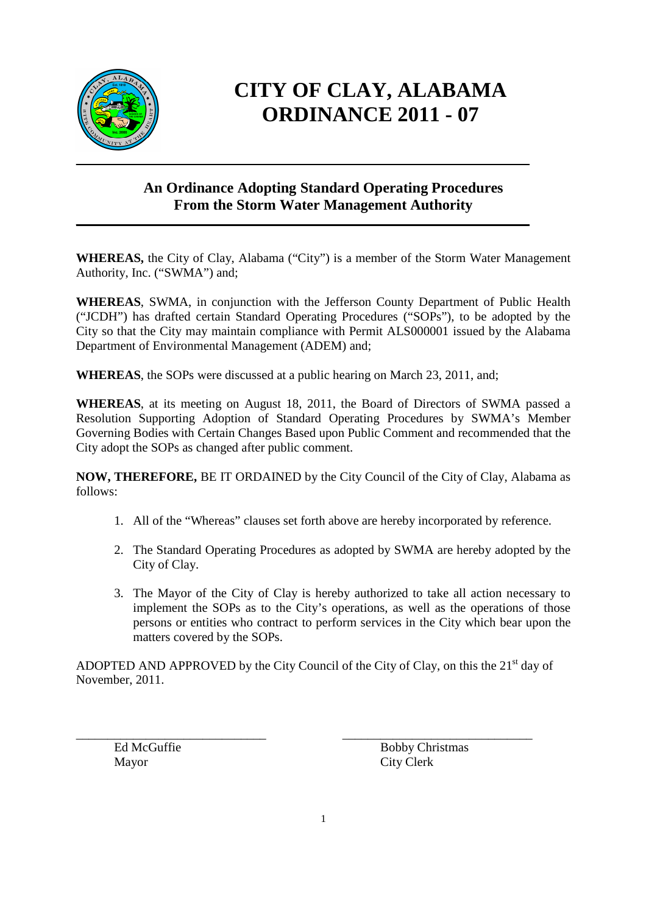

## **CITY OF CLAY, ALABAMA ORDINANCE 2011 - 07**

## **An Ordinance Adopting Standard Operating Procedures From the Storm Water Management Authority**

**\_\_\_\_\_\_\_\_\_\_\_\_\_\_\_\_\_\_\_\_\_\_\_\_\_\_\_\_\_\_\_\_\_\_\_\_\_\_\_\_\_\_\_\_\_\_\_\_\_\_\_\_\_\_\_\_\_\_\_\_\_\_\_\_\_\_\_\_\_\_\_\_\_\_\_\_\_\_** 

**WHEREAS,** the City of Clay, Alabama ("City") is a member of the Storm Water Management Authority, Inc. ("SWMA") and;

**WHEREAS**, SWMA, in conjunction with the Jefferson County Department of Public Health ("JCDH") has drafted certain Standard Operating Procedures ("SOPs"), to be adopted by the City so that the City may maintain compliance with Permit ALS000001 issued by the Alabama Department of Environmental Management (ADEM) and;

**WHEREAS**, the SOPs were discussed at a public hearing on March 23, 2011, and;

**WHEREAS**, at its meeting on August 18, 2011, the Board of Directors of SWMA passed a Resolution Supporting Adoption of Standard Operating Procedures by SWMA's Member Governing Bodies with Certain Changes Based upon Public Comment and recommended that the City adopt the SOPs as changed after public comment.

**NOW, THEREFORE,** BE IT ORDAINED by the City Council of the City of Clay, Alabama as follows:

- 1. All of the "Whereas" clauses set forth above are hereby incorporated by reference.
- 2. The Standard Operating Procedures as adopted by SWMA are hereby adopted by the City of Clay.
- 3. The Mayor of the City of Clay is hereby authorized to take all action necessary to implement the SOPs as to the City's operations, as well as the operations of those persons or entities who contract to perform services in the City which bear upon the matters covered by the SOPs.

ADOPTED AND APPROVED by the City Council of the City of Clay, on this the  $21<sup>st</sup>$  day of November, 2011.

Mayor City Clerk

\_\_\_\_\_\_\_\_\_\_\_\_\_\_\_\_\_\_\_\_\_\_\_\_\_\_\_\_\_\_ \_\_\_\_\_\_\_\_\_\_\_\_\_\_\_\_\_\_\_\_\_\_\_\_\_\_\_\_\_\_ Ed McGuffie Bobby Christmas